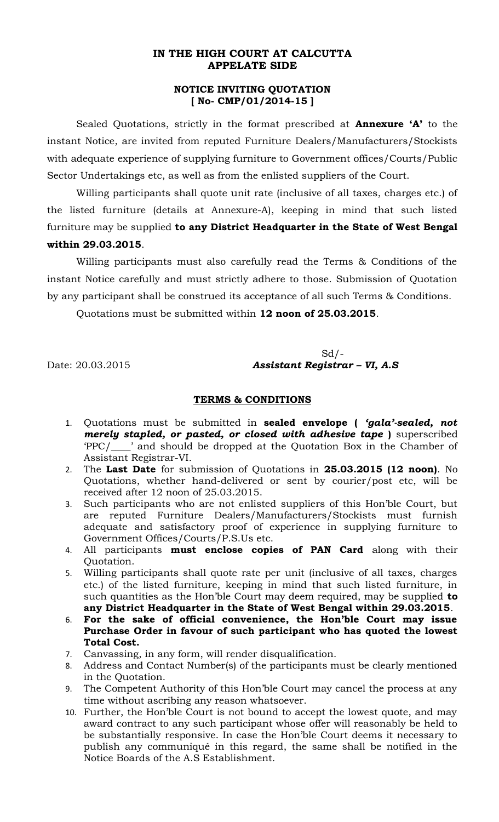## **IN THE HIGH COURT AT CALCUTTA APPELATE SIDE**

## **NOTICE INVITING QUOTATION [ No- CMP/01/2014-15 ]**

Sealed Quotations, strictly in the format prescribed at **Annexure 'A'** to the instant Notice, are invited from reputed Furniture Dealers/Manufacturers/Stockists with adequate experience of supplying furniture to Government offices/Courts/Public Sector Undertakings etc, as well as from the enlisted suppliers of the Court.

Willing participants shall quote unit rate (inclusive of all taxes, charges etc.) of the listed furniture (details at Annexure-A), keeping in mind that such listed furniture may be supplied **to any District Headquarter in the State of West Bengal within 29.03.2015**.

Willing participants must also carefully read the Terms & Conditions of the instant Notice carefully and must strictly adhere to those. Submission of Quotation by any participant shall be construed its acceptance of all such Terms & Conditions.

Quotations must be submitted within **12 noon of 25.03.2015**.

 $Sd$  /-Date: 20.03.2015 *Assistant Registrar – VI, A.S*

## **TERMS & CONDITIONS**

- 1. Quotations must be submitted in **sealed envelope (** *'gala'-sealed, not merely stapled, or pasted, or closed with adhesive tape* ) superscribed 'PPC/\_\_\_\_' and should be dropped at the Quotation Box in the Chamber of Assistant Registrar-VI.
- 2. The **Last Date** for submission of Quotations in **25.03.2015 (12 noon)**. No Quotations, whether hand-delivered or sent by courier/post etc, will be received after 12 noon of 25.03.2015.
- 3. Such participants who are not enlisted suppliers of this Hon'ble Court, but are reputed Furniture Dealers/Manufacturers/Stockists must furnish adequate and satisfactory proof of experience in supplying furniture to Government Offices/Courts/P.S.Us etc.
- 4. All participants **must enclose copies of PAN Card** along with their Quotation.
- 5. Willing participants shall quote rate per unit (inclusive of all taxes, charges etc.) of the listed furniture, keeping in mind that such listed furniture, in such quantities as the Hon'ble Court may deem required, may be supplied **to any District Headquarter in the State of West Bengal within 29.03.2015**.
- 6. **For the sake of official convenience, the Hon'ble Court may issue Purchase Order in favour of such participant who has quoted the lowest Total Cost.**
- 7. Canvassing, in any form, will render disqualification.
- 8. Address and Contact Number(s) of the participants must be clearly mentioned in the Quotation.
- 9. The Competent Authority of this Hon'ble Court may cancel the process at any time without ascribing any reason whatsoever.
- 10. Further, the Hon'ble Court is not bound to accept the lowest quote, and may award contract to any such participant whose offer will reasonably be held to be substantially responsive. In case the Hon'ble Court deems it necessary to publish any communiqué in this regard, the same shall be notified in the Notice Boards of the A.S Establishment.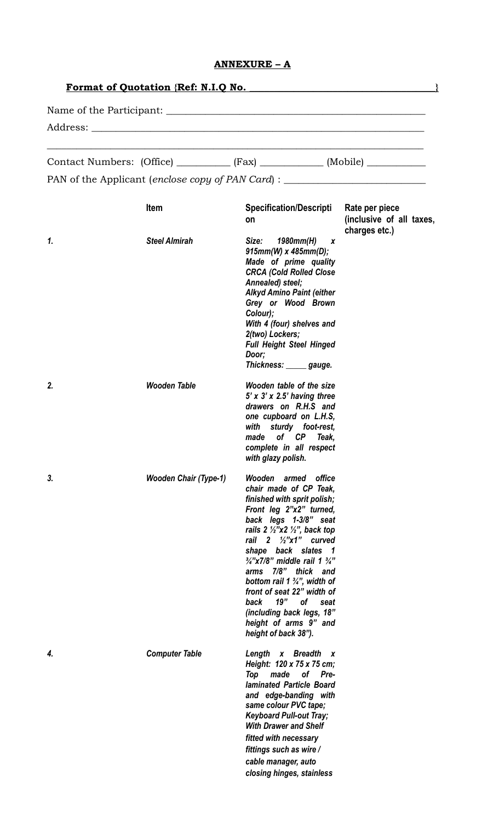## **ANNEXURE – A**

| <b>Format of Quotation {Ref: N.I.Q No.</b> |                              |                                                                                                                                                                                                                                                                                                                                                                                                                                                                                                                        |                                           |  |  |  |                                                                                  |  |  |
|--------------------------------------------|------------------------------|------------------------------------------------------------------------------------------------------------------------------------------------------------------------------------------------------------------------------------------------------------------------------------------------------------------------------------------------------------------------------------------------------------------------------------------------------------------------------------------------------------------------|-------------------------------------------|--|--|--|----------------------------------------------------------------------------------|--|--|
|                                            |                              |                                                                                                                                                                                                                                                                                                                                                                                                                                                                                                                        |                                           |  |  |  | Contact Numbers: (Office) ___________ (Fax) ____________ (Mobile) _____________  |  |  |
|                                            |                              |                                                                                                                                                                                                                                                                                                                                                                                                                                                                                                                        |                                           |  |  |  | PAN of the Applicant (enclose copy of PAN Card) : ______________________________ |  |  |
|                                            | Item                         | Specification/Descripti Rate per piece<br>on                                                                                                                                                                                                                                                                                                                                                                                                                                                                           | (inclusive of all taxes,<br>charges etc.) |  |  |  |                                                                                  |  |  |
| 1.                                         | <b>Steel Almirah</b>         | Size: 1980mm(H) x<br>$915mm(W) \times 485mm(D);$<br>Made of prime quality<br><b>CRCA (Cold Rolled Close</b><br>Annealed) steel;<br><b>Alkyd Amino Paint (either</b><br>Grey or Wood Brown<br>Colour);<br>With 4 (four) shelves and<br>2(two) Lockers;<br><b>Full Height Steel Hinged</b><br>Door;<br>Thickness: _____ gauge.                                                                                                                                                                                           |                                           |  |  |  |                                                                                  |  |  |
| 2.                                         | <b>Wooden Table</b>          | Wooden table of the size<br>$5'$ x $3'$ x 2.5' having three<br>drawers on R.H.S and<br>one cupboard on L.H.S,<br>with sturdy foot-rest,<br>made of CP Teak,<br>complete in all respect<br>with glazy polish.                                                                                                                                                                                                                                                                                                           |                                           |  |  |  |                                                                                  |  |  |
| 3.                                         | <b>Wooden Chair (Type-1)</b> | Wooden armed<br>office<br>chair made of CP Teak,<br>finished with sprit polish;<br>Front leg 2"x2" turned,<br>back legs 1-3/8" seat<br>rails $2 \frac{1}{2}$ "x2 $\frac{1}{2}$ ", back top<br>rail $2 \frac{1}{2}$ "x1" curved<br>shape back slates 1<br>$\frac{3}{4}$ "x7/8" middle rail 1 $\frac{3}{4}$ "<br>arms 7/8" thick and<br>bottom rail 1 $\frac{3}{4}$ ", width of<br>front of seat 22" width of<br>19"<br>of<br>back<br>seat<br>(including back legs, 18"<br>height of arms 9" and<br>height of back 38"). |                                           |  |  |  |                                                                                  |  |  |
| 4.                                         | <b>Computer Table</b>        | Length x Breadth<br>$\boldsymbol{X}$<br>Height: 120 x 75 x 75 cm;<br>Top<br>made<br>of Pre-<br><b>laminated Particle Board</b><br>and edge-banding with<br>same colour PVC tape;<br><b>Keyboard Pull-out Tray;</b><br><b>With Drawer and Shelf</b><br>fitted with necessary<br>fittings such as wire /<br>cable manager, auto<br>closing hinges, stainless                                                                                                                                                             |                                           |  |  |  |                                                                                  |  |  |